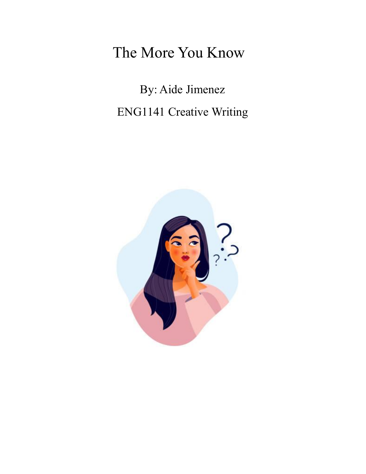## The More You Know

By: Aide Jimenez ENG1141 Creative Writing

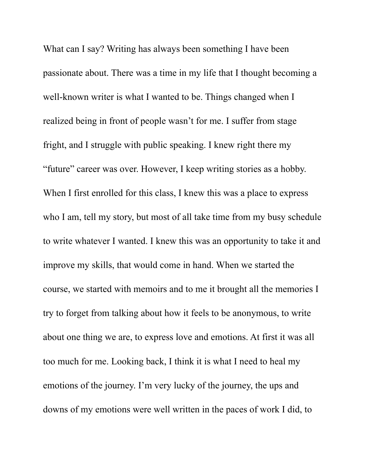What can I say? Writing has always been something I have been passionate about. There was a time in my life that I thought becoming a well-known writer is what I wanted to be. Things changed when I realized being in front of people wasn't for me. I suffer from stage fright, and I struggle with public speaking. I knew right there my "future" career was over. However, I keep writing stories as a hobby. When I first enrolled for this class, I knew this was a place to express who I am, tell my story, but most of all take time from my busy schedule to write whatever I wanted. I knew this was an opportunity to take it and improve my skills, that would come in hand. When we started the course, we started with memoirs and to me it brought all the memories I try to forget from talking about how it feels to be anonymous, to write about one thing we are, to express love and emotions. At first it was all too much for me. Looking back, I think it is what I need to heal my emotions of the journey. I'm very lucky of the journey, the ups and downs of my emotions were well written in the paces of work I did, to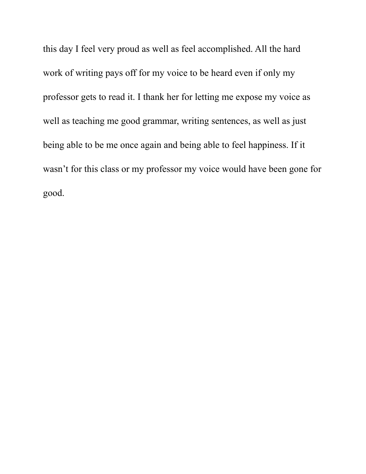this day I feel very proud as well as feel accomplished. All the hard work of writing pays off for my voice to be heard even if only my professor gets to read it. I thank her for letting me expose my voice as well as teaching me good grammar, writing sentences, as well as just being able to be me once again and being able to feel happiness. If it wasn't for this class or my professor my voice would have been gone for good.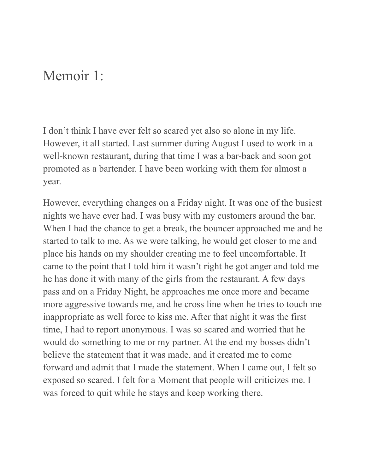## Memoir 1:

I don't think I have ever felt so scared yet also so alone in my life. However, it all started. Last summer during August I used to work in a well-known restaurant, during that time I was a bar-back and soon got promoted as a bartender. I have been working with them for almost a year.

However, everything changes on a Friday night. It was one of the busiest nights we have ever had. I was busy with my customers around the bar. When I had the chance to get a break, the bouncer approached me and he started to talk to me. As we were talking, he would get closer to me and place his hands on my shoulder creating me to feel uncomfortable. It came to the point that I told him it wasn't right he got anger and told me he has done it with many of the girls from the restaurant. A few days pass and on a Friday Night, he approaches me once more and became more aggressive towards me, and he cross line when he tries to touch me inappropriate as well force to kiss me. After that night it was the first time, I had to report anonymous. I was so scared and worried that he would do something to me or my partner. At the end my bosses didn't believe the statement that it was made, and it created me to come forward and admit that I made the statement. When I came out, I felt so exposed so scared. I felt for a Moment that people will criticizes me. I was forced to quit while he stays and keep working there.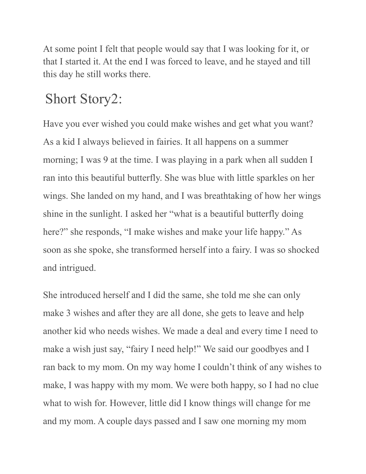At some point I felt that people would say that I was looking for it, or that I started it. At the end I was forced to leave, and he stayed and till this day he still works there.

## Short Story2:

Have you ever wished you could make wishes and get what you want? As a kid I always believed in fairies. It all happens on a summer morning; I was 9 at the time. I was playing in a park when all sudden I ran into this beautiful butterfly. She was blue with little sparkles on her wings. She landed on my hand, and I was breathtaking of how her wings shine in the sunlight. I asked her "what is a beautiful butterfly doing here?" she responds, "I make wishes and make your life happy." As soon as she spoke, she transformed herself into a fairy. I was so shocked and intrigued.

She introduced herself and I did the same, she told me she can only make 3 wishes and after they are all done, she gets to leave and help another kid who needs wishes. We made a deal and every time I need to make a wish just say, "fairy I need help!" We said our goodbyes and I ran back to my mom. On my way home I couldn't think of any wishes to make, I was happy with my mom. We were both happy, so I had no clue what to wish for. However, little did I know things will change for me and my mom. A couple days passed and I saw one morning my mom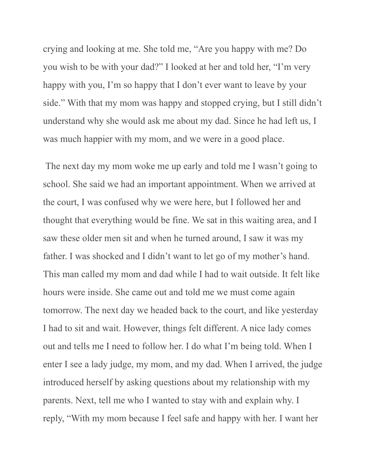crying and looking at me. She told me, "Are you happy with me? Do you wish to be with your dad?" I looked at her and told her, "I'm very happy with you, I'm so happy that I don't ever want to leave by your side." With that my mom was happy and stopped crying, but I still didn't understand why she would ask me about my dad. Since he had left us, I was much happier with my mom, and we were in a good place.

The next day my mom woke me up early and told me I wasn't going to school. She said we had an important appointment. When we arrived at the court, I was confused why we were here, but I followed her and thought that everything would be fine. We sat in this waiting area, and I saw these older men sit and when he turned around, I saw it was my father. I was shocked and I didn't want to let go of my mother's hand. This man called my mom and dad while I had to wait outside. It felt like hours were inside. She came out and told me we must come again tomorrow. The next day we headed back to the court, and like yesterday I had to sit and wait. However, things felt different. A nice lady comes out and tells me I need to follow her. I do what I'm being told. When I enter I see a lady judge, my mom, and my dad. When I arrived, the judge introduced herself by asking questions about my relationship with my parents. Next, tell me who I wanted to stay with and explain why. I reply, "With my mom because I feel safe and happy with her. I want her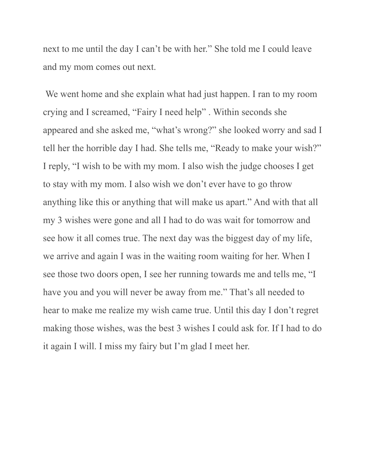next to me until the day I can't be with her." She told me I could leave and my mom comes out next.

We went home and she explain what had just happen. I ran to my room crying and I screamed, "Fairy I need help" . Within seconds she appeared and she asked me, "what's wrong?" she looked worry and sad I tell her the horrible day I had. She tells me, "Ready to make your wish?" I reply, "I wish to be with my mom. I also wish the judge chooses I get to stay with my mom. I also wish we don't ever have to go throw anything like this or anything that will make us apart." And with that all my 3 wishes were gone and all I had to do was wait for tomorrow and see how it all comes true. The next day was the biggest day of my life, we arrive and again I was in the waiting room waiting for her. When I see those two doors open, I see her running towards me and tells me, "I have you and you will never be away from me." That's all needed to hear to make me realize my wish came true. Until this day I don't regret making those wishes, was the best 3 wishes I could ask for. If I had to do it again I will. I miss my fairy but I'm glad I meet her.